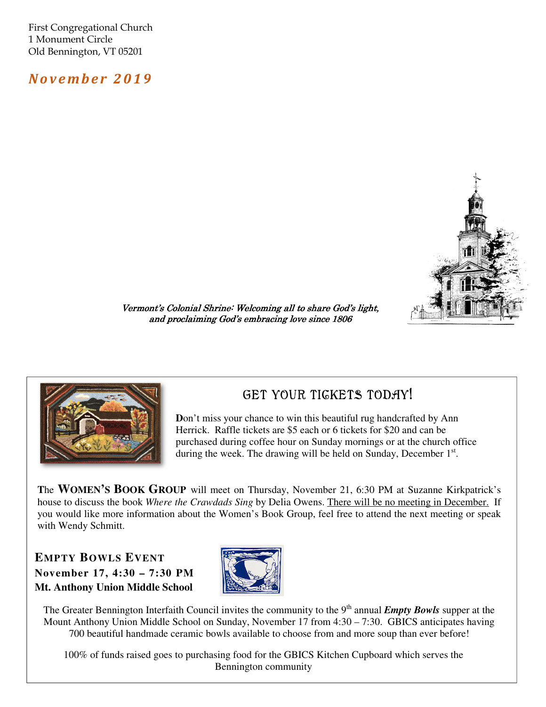First Congregational Church 1 Monument Circle Old Bennington, VT 05201

N o v e m b e r 2 0 1 9



Vermont's Colonial Shrine: Welcoming all to share God's light, and proclaiming God's embracing love since 1806



### GET YOUR TIGKETS TODAY!

**Don't miss your chance to win this beautiful rug handcrafted by Ann** Herrick. Raffle tickets are \$5 each or 6 tickets for \$20 and can be purchased during coffee hour on Sunday mornings or at the church office during the week. The drawing will be held on Sunday, December 1st.

**T**he **WOMEN'S BOOK GROUP** will meet on Thursday, November 21, 6:30 PM at Suzanne Kirkpatrick's house to discuss the book *Where the Crawdads Sing* by Delia Owens. There will be no meeting in December. If you would like more information about the Women's Book Group, feel free to attend the next meeting or speak with Wendy Schmitt.

#### **EMPTY BOWLS EVENT November 17, 4:30 – 7:30 PM Mt. Anthony Union Middle School**



The Greater Bennington Interfaith Council invites the community to the 9<sup>th</sup> annual *Empty Bowls* supper at the Mount Anthony Union Middle School on Sunday, November 17 from 4:30 – 7:30. GBICS anticipates having 700 beautiful handmade ceramic bowls available to choose from and more soup than ever before!

100% of funds raised goes to purchasing food for the GBICS Kitchen Cupboard which serves the Bennington community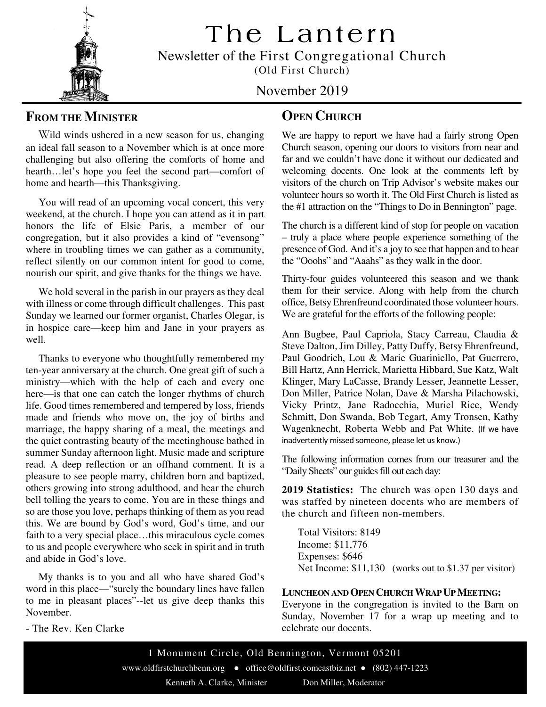The Lantern

Newsletter of the First Congregational Church

(Old First Church)

#### November 2019

#### **FROM THE MINISTER**

 Wild winds ushered in a new season for us, changing an ideal fall season to a November which is at once more challenging but also offering the comforts of home and hearth…let's hope you feel the second part—comfort of home and hearth—this Thanksgiving.

 You will read of an upcoming vocal concert, this very weekend, at the church. I hope you can attend as it in part honors the life of Elsie Paris, a member of our congregation, but it also provides a kind of "evensong" where in troubling times we can gather as a community, reflect silently on our common intent for good to come, nourish our spirit, and give thanks for the things we have.

 We hold several in the parish in our prayers as they deal with illness or come through difficult challenges. This past Sunday we learned our former organist, Charles Olegar, is in hospice care—keep him and Jane in your prayers as well.

 Thanks to everyone who thoughtfully remembered my ten-year anniversary at the church. One great gift of such a ministry—which with the help of each and every one here—is that one can catch the longer rhythms of church life. Good times remembered and tempered by loss, friends made and friends who move on, the joy of births and marriage, the happy sharing of a meal, the meetings and the quiet contrasting beauty of the meetinghouse bathed in summer Sunday afternoon light. Music made and scripture read. A deep reflection or an offhand comment. It is a pleasure to see people marry, children born and baptized, others growing into strong adulthood, and hear the church bell tolling the years to come. You are in these things and so are those you love, perhaps thinking of them as you read this. We are bound by God's word, God's time, and our faith to a very special place…this miraculous cycle comes to us and people everywhere who seek in spirit and in truth and abide in God's love.

 My thanks is to you and all who have shared God's word in this place—"surely the boundary lines have fallen to me in pleasant places"--let us give deep thanks this November.

- The Rev. Ken Clarke

#### **OPEN CHURCH**

We are happy to report we have had a fairly strong Open Church season, opening our doors to visitors from near and far and we couldn't have done it without our dedicated and welcoming docents. One look at the comments left by visitors of the church on Trip Advisor's website makes our volunteer hours so worth it. The Old First Church is listed as the #1 attraction on the "Things to Do in Bennington" page.

The church is a different kind of stop for people on vacation – truly a place where people experience something of the presence of God. And it's a joy to see that happen and to hear the "Ooohs" and "Aaahs" as they walk in the door.

Thirty-four guides volunteered this season and we thank them for their service. Along with help from the church office, Betsy Ehrenfreund coordinated those volunteer hours. We are grateful for the efforts of the following people:

Ann Bugbee, Paul Capriola, Stacy Carreau, Claudia & Steve Dalton, Jim Dilley, Patty Duffy, Betsy Ehrenfreund, Paul Goodrich, Lou & Marie Guariniello, Pat Guerrero, Bill Hartz, Ann Herrick, Marietta Hibbard, Sue Katz, Walt Klinger, Mary LaCasse, Brandy Lesser, Jeannette Lesser, Don Miller, Patrice Nolan, Dave & Marsha Pilachowski, Vicky Printz, Jane Radocchia, Muriel Rice, Wendy Schmitt, Don Swanda, Bob Tegart, Amy Tronsen, Kathy Wagenknecht, Roberta Webb and Pat White. (If we have inadvertently missed someone, please let us know.)

The following information comes from our treasurer and the "Daily Sheets" our guides fill out each day:

**2019 Statistics:** The church was open 130 days and was staffed by nineteen docents who are members of the church and fifteen non-members.

Total Visitors: 8149 Income: \$11,776 Expenses: \$646 Net Income: \$11,130 (works out to \$1.37 per visitor)

#### **LUNCHEON AND OPEN CHURCH WRAP UP MEETING:**

Everyone in the congregation is invited to the Barn on Sunday, November 17 for a wrap up meeting and to celebrate our docents.

1 Monument Circle, Old Bennington, Vermont 05201 www.oldfirstchurchbenn.org ● office@oldfirst.comcastbiz.net ● (802) 447-1223 Kenneth A. Clarke, Minister Don Miller, Moderator

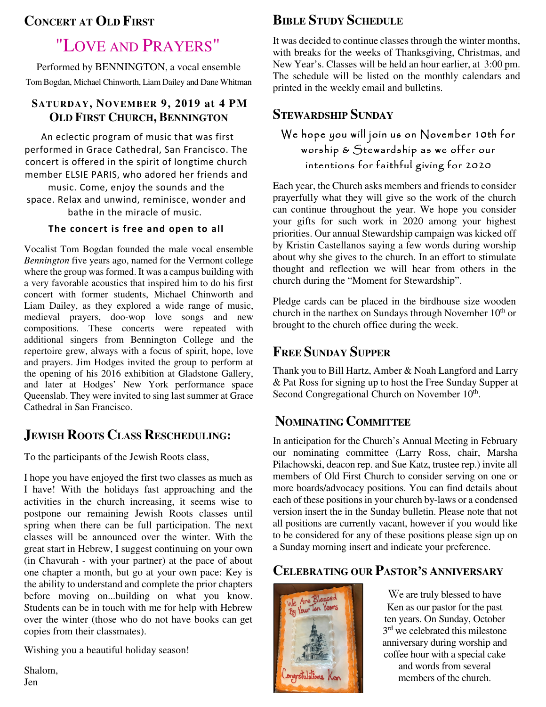### **CONCERT AT OLD FIRST**

# "LOVE AND PRAYERS"

Performed by BENNINGTON, a vocal ensemble Tom Bogdan, Michael Chinworth, Liam Dailey and Dane Whitman

#### **SATURDAY, NOVEMBER 9, 2019 at 4 PM OLD FIRST CHURCH, BENNINGTON**

An eclectic program of music that was first performed in Grace Cathedral, San Francisco. The concert is offered in the spirit of longtime church member ELSIE PARIS, who adored her friends and music. Come, enjoy the sounds and the

space. Relax and unwind, reminisce, wonder and bathe in the miracle of music.

#### The concert is free and open to all

and later at Hodges' New York performance space Queenslab. They were invited to sing last summer at Grace Vocalist Tom Bogdan founded the male vocal ensemble *Bennington* five years ago, named for the Vermont college where the group was formed. It was a campus building with a very favorable acoustics that inspired him to do his first concert with former students, Michael Chinworth and Liam Dailey, as they explored a wide range of music, medieval prayers, doo-wop love songs and new compositions. These concerts were repeated with additional singers from Bennington College and the repertoire grew, always with a focus of spirit, hope, love and prayers. Jim Hodges invited the group to perform at the opening of his 2016 exhibition at Gladstone Gallery, Cathedral in San Francisco.

### **JEWISH ROOTS CLASS RESCHEDULING:**

To the participants of the Jewish Roots class,

I hope you have enjoyed the first two classes as much as I have! With the holidays fast approaching and the activities in the church increasing, it seems wise to postpone our remaining Jewish Roots classes until spring when there can be full participation. The next classes will be announced over the winter. With the great start in Hebrew, I suggest continuing on your own (in Chavurah - with your partner) at the pace of about one chapter a month, but go at your own pace: Key is the ability to understand and complete the prior chapters before moving on...building on what you know. Students can be in touch with me for help with Hebrew over the winter (those who do not have books can get copies from their classmates).

Wishing you a beautiful holiday season!

 $n$ , Shalom, Jen

### **BIBLE STUDY SCHEDULE**

It was decided to continue classes through the winter months, with breaks for the weeks of Thanksgiving, Christmas, and New Year's. Classes will be held an hour earlier, at 3:00 pm. The schedule will be listed on the monthly calendars and printed in the weekly email and bulletins.

### **STEWARDSHIP SUNDAY**

### We hope you will join us on November 10th for worship & Stewardship as we offer our intentions for faithful giving for 2020

Each year, the Church asks members and friends to consider prayerfully what they will give so the work of the church can continue throughout the year. We hope you consider your gifts for such work in 2020 among your highest priorities. Our annual Stewardship campaign was kicked off by Kristin Castellanos saying a few words during worship about why she gives to the church. In an effort to stimulate thought and reflection we will hear from others in the church during the "Moment for Stewardship".

Pledge cards can be placed in the birdhouse size wooden church in the narthex on Sundays through November 10<sup>th</sup> or brought to the church office during the week.

#### **FREE SUNDAY SUPPER**

Thank you to Bill Hartz, Amber & Noah Langford and Larry & Pat Ross for signing up to host the Free Sunday Supper at Second Congregational Church on November 10<sup>th</sup>.

# **NOMINATING COMMITTEE**

In anticipation for the Church's Annual Meeting in February our nominating committee (Larry Ross, chair, Marsha Pilachowski, deacon rep. and Sue Katz, trustee rep.) invite all members of Old First Church to consider serving on one or more boards/advocacy positions. You can find details about each of these positions in your church by-laws or a condensed version insert the in the Sunday bulletin. Please note that not all positions are currently vacant, however if you would like to be considered for any of these positions please sign up on a Sunday morning insert and indicate your preference.

### **CELEBRATING OUR PASTOR'S ANNIVERSARY**



We are truly blessed to have Ken as our pastor for the past ten years. On Sunday, October 3<sup>rd</sup> we celebrated this milestone anniversary during worship and coffee hour with a special cake and words from several members of the church.